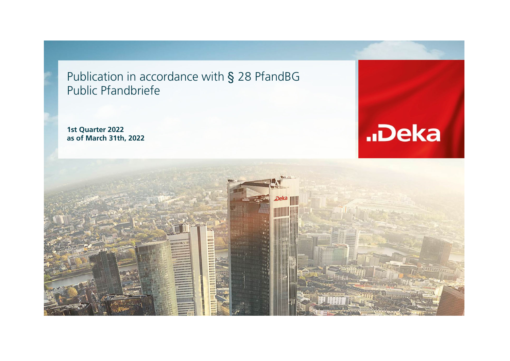Publication in accordance with § 28 PfandBG Public Pfandbriefe

**1st Quarter 2022 as of March 31th, 2022**



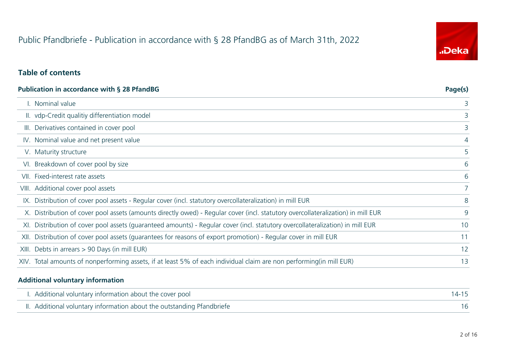# "Deka

#### **Table of contents**

| <b>Publication in accordance with § 28 PfandBG</b> |                                                                                                                                  |                |  |  |
|----------------------------------------------------|----------------------------------------------------------------------------------------------------------------------------------|----------------|--|--|
|                                                    | I. Nominal value                                                                                                                 | 3              |  |  |
|                                                    | II. vdp-Credit qualitiy differentiation model                                                                                    | 3              |  |  |
|                                                    | III. Derivatives contained in cover pool                                                                                         | 3              |  |  |
|                                                    | IV. Nominal value and net present value                                                                                          | 4              |  |  |
|                                                    | V. Maturity structure                                                                                                            | 5              |  |  |
|                                                    | VI. Breakdown of cover pool by size                                                                                              | 6              |  |  |
|                                                    | VII. Fixed-interest rate assets                                                                                                  | 6              |  |  |
|                                                    | VIII. Additional cover pool assets                                                                                               | $\overline{7}$ |  |  |
|                                                    | IX. Distribution of cover pool assets - Regular cover (incl. statutory overcollateralization) in mill EUR                        | 8              |  |  |
|                                                    | X. Distribution of cover pool assets (amounts directly owed) - Regular cover (incl. statutory overcollateralization) in mill EUR | 9              |  |  |
|                                                    | XI. Distribution of cover pool assets (quaranteed amounts) - Regular cover (incl. statutory overcollateralization) in mill EUR   | 10             |  |  |
|                                                    | XII. Distribution of cover pool assets (quarantees for reasons of export promotion) - Regular cover in mill EUR                  | 11             |  |  |
|                                                    | XIII. Debts in arrears > 90 Days (in mill EUR)                                                                                   | 12             |  |  |
|                                                    | XIV. Total amounts of nonperforming assets, if at least 5% of each individual claim are non performing (in mill EUR)             | 13             |  |  |

#### **Additional voluntary information**

| I. Additional voluntary information about the cover pool               |  |
|------------------------------------------------------------------------|--|
| II. Additional voluntary information about the outstanding Pfandbriefe |  |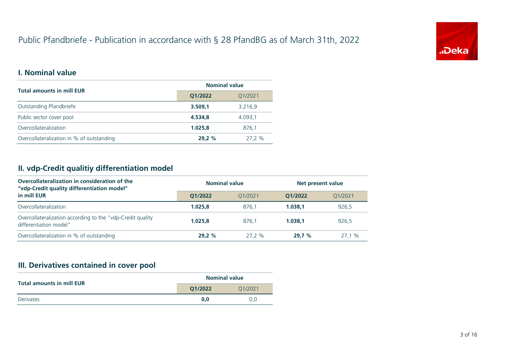

#### **I. Nominal value**

| <b>Total amounts in mill EUR</b>          | <b>Nominal value</b> |         |  |
|-------------------------------------------|----------------------|---------|--|
|                                           | Q1/2022              | Q1/2021 |  |
| Outstanding Pfandbriefe                   | 3.509,1              | 3.216,9 |  |
| Public sector cover pool                  | 4.534.8              | 4.093.1 |  |
| Overcollateralization                     | 1.025.8              | 876.1   |  |
| Overcollateralization in % of outstanding | 29.2%                | 27.2 %  |  |

## **II. vdp-Credit qualitiy differentiation model**

| Overcollateralization in consideration of the<br>"vdp-Credit quality differentiation model" | <b>Nominal value</b> |           | Net present value |         |  |
|---------------------------------------------------------------------------------------------|----------------------|-----------|-------------------|---------|--|
| in mill EUR                                                                                 | 01/2022              | 01/2021   | 01/2022           | 01/2021 |  |
| Overcollateralization                                                                       | 1.025.8              | 876.1     | 1.038.1           | 926,5   |  |
| Overcollateralization according to the "vdp-Credit quality<br>differentiation model"        | 1.025.8              | 876.1     | 1.038.1           | 926,5   |  |
| Overcollateralization in % of outstanding                                                   | 29.2%                | $27.2 \%$ | 29.7%             | 27.1%   |  |

## **III. Derivatives contained in cover pool**

|                                  |         | <b>Nominal value</b> |
|----------------------------------|---------|----------------------|
| <b>Total amounts in mill EUR</b> | O1/2022 | 01/2021              |
| <b>Derivates</b>                 | 0.0     | 0.0                  |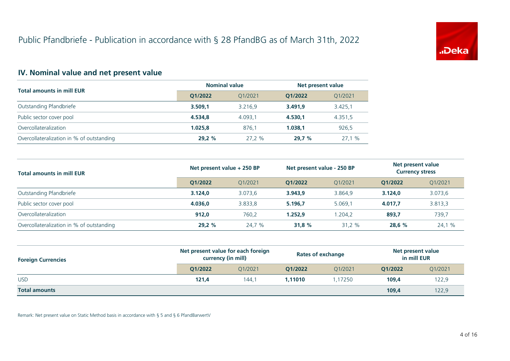

## **IV. Nominal value and net present value**

|                                           | <b>Nominal value</b> |         | Net present value |         |  |
|-------------------------------------------|----------------------|---------|-------------------|---------|--|
| <b>Total amounts in mill EUR</b>          | O1/2022              | 01/2021 | 01/2022           | Q1/2021 |  |
| Outstanding Pfandbriefe                   | 3.509.1              | 3.216.9 | 3.491.9           | 3.425,1 |  |
| Public sector cover pool                  | 4.534.8              | 4.093.1 | 4.530.1           | 4.351,5 |  |
| Overcollateralization                     | 1.025.8              | 876.1   | 1.038.1           | 926,5   |  |
| Overcollateralization in % of outstanding | 29.2%                | 27.2 %  | 29.7%             | 27.1%   |  |

| <b>Total amounts in mill EUR</b>          | Net present value + 250 BP |         | Net present value - 250 BP |         | Net present value<br><b>Currency stress</b> |         |
|-------------------------------------------|----------------------------|---------|----------------------------|---------|---------------------------------------------|---------|
|                                           | O1/2022                    | O1/2021 | O1/2022                    | O1/2021 | 01/2022                                     | Q1/2021 |
| Outstanding Pfandbriefe                   | 3.124.0                    | 3.073.6 | 3.943.9                    | 3.864.9 | 3.124.0                                     | 3.073,6 |
| Public sector cover pool                  | 4.036.0                    | 3.833,8 | 5.196.7                    | 5.069.1 | 4.017.7                                     | 3.813,3 |
| Overcollateralization                     | 912.0                      | 760,2   | 1.252.9                    | 1.204.2 | 893,7                                       | 739,7   |
| Overcollateralization in % of outstanding | 29.2%                      | 24.7 %  | 31.8%                      | 31.2 %  | 28.6%                                       | 24,1 %  |

| <b>Foreign Currencies</b> | Net present value for each foreign<br>currency (in mill) |         | <b>Rates of exchange</b> |         | Net present value<br>in mill EUR |         |
|---------------------------|----------------------------------------------------------|---------|--------------------------|---------|----------------------------------|---------|
|                           | O1/2022                                                  | 01/2021 | 01/2022                  | 01/2021 | 01/2022                          | Q1/2021 |
| <b>USD</b>                | 121,4                                                    | 144.1   | 1.11010                  | 1.17250 | 109,4                            | 122,9   |
| <b>Total amounts</b>      |                                                          |         |                          |         | 109,4                            | 122,9   |

Remark: Net present value on Static Method basis in accordance with § 5 and § 6 PfandBarwertV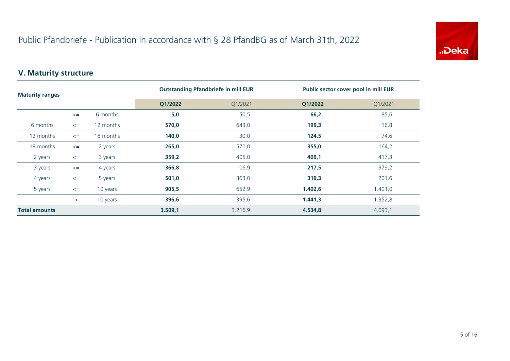

## **V. Maturity structure**

| <b>Maturity ranges</b> |        |           | <b>Outstanding Pfandbriefe in mill EUR</b> |         | Public sector cover pool in mill EUR |         |
|------------------------|--------|-----------|--------------------------------------------|---------|--------------------------------------|---------|
|                        |        |           | Q1/2022                                    | Q1/2021 | Q1/2022                              | Q1/2021 |
|                        | $\leq$ | 6 months  | 5,0                                        | 50,5    | 66,2                                 | 85,6    |
| 6 months               | $\leq$ | 12 months | 570,0                                      | 643,0   | 199,3                                | 16,8    |
| 12 months<br>18 months | $\leq$ | 18 months | 140,0                                      | 30,0    | 124,5                                | 74,6    |
|                        | $\leq$ | 2 years   | 265,0                                      | 570,0   | 355,0                                | 164,2   |
| 2 years                | $\leq$ | 3 years   | 359,2                                      | 405,0   | 409,1                                | 417,3   |
| 3 years                | $\leq$ | 4 years   | 366,8                                      | 106,9   | 217,5                                | 379,2   |
| 4 years                | $\leq$ | 5 years   | 501,0                                      | 363,0   | 319,3                                | 201,6   |
| 5 years                | $\leq$ | 10 years  | 905,5                                      | 652,9   | 1.402,6                              | 1.401,0 |
|                        | $\geq$ | 10 years  | 396,6                                      | 395,6   | 1.441,3                              | 1.352,8 |
| <b>Total amounts</b>   |        | 3.509,1   | 3.216,9                                    | 4.534,8 | 4.093,1                              |         |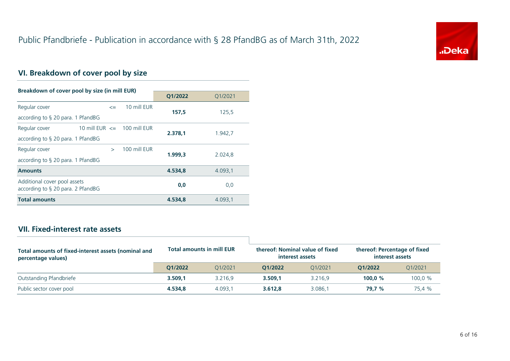

## **VI. Breakdown of cover pool by size**

| Breakdown of cover pool by size (in mill EUR)                        |              |              |         |         |
|----------------------------------------------------------------------|--------------|--------------|---------|---------|
|                                                                      |              |              | Q1/2022 | Q1/2021 |
| Regular cover                                                        | $\leq$       | 10 mill EUR  |         |         |
| according to $\S$ 20 para. 1 PfandBG                                 |              |              | 157.5   | 125,5   |
| 10 mill EUR $\le$ 100 mill EUR<br>Regular cover                      |              |              |         |         |
| according to $\S$ 20 para. 1 PfandBG                                 |              |              | 2.378.1 | 1.942,7 |
| Regular cover                                                        | $\mathbf{r}$ | 100 mill EUR |         |         |
| according to $\S$ 20 para. 1 PfandBG                                 |              |              | 1.999,3 | 2.024,8 |
| <b>Amounts</b>                                                       |              |              | 4.534,8 | 4.093,1 |
| Additional cover pool assets<br>according to $\S$ 20 para. 2 PfandBG |              | 0,0          | 0,0     |         |
| <b>Total amounts</b>                                                 |              |              | 4.534.8 | 4.093,1 |

#### **VII. Fixed-interest rate assets**

| Total amounts of fixed-interest assets (nominal and<br>percentage values) | <b>Total amounts in mill EUR</b> |         | thereof: Nominal value of fixed<br>interest assets |         | thereof: Percentage of fixed<br>interest assets |         |
|---------------------------------------------------------------------------|----------------------------------|---------|----------------------------------------------------|---------|-------------------------------------------------|---------|
|                                                                           | 01/2022                          | 01/2021 | 01/2022                                            | 01/2021 | 01/2022                                         | 01/2021 |
| Outstanding Pfandbriefe                                                   | 3.509.1                          | 3.216.9 | 3.509.1                                            | 3.216.9 | 100.0 $%$                                       | 100,0 % |
| Public sector cover pool                                                  | 4.534.8                          | 4.093.1 | 3.612.8                                            | 3.086.1 | 79.7 %                                          | 75.4 %  |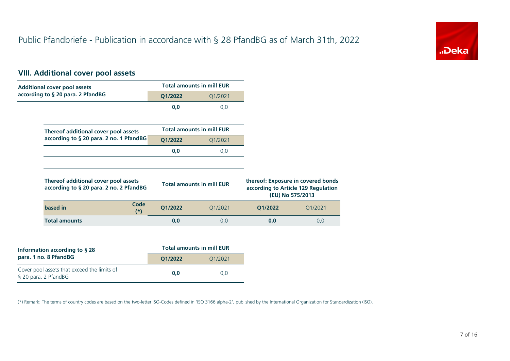

## **VIII. Additional cover pool assets**

| <b>Additional cover pool assets</b>                                             |         | <b>Total amounts in mill EUR</b> |         |                                                                                               |
|---------------------------------------------------------------------------------|---------|----------------------------------|---------|-----------------------------------------------------------------------------------------------|
| according to § 20 para. 2 PfandBG                                               | Q1/2022 | Q1/2021                          |         |                                                                                               |
|                                                                                 | 0,0     | 0,0                              |         |                                                                                               |
|                                                                                 |         |                                  |         |                                                                                               |
| Thereof additional cover pool assets                                            |         | <b>Total amounts in mill EUR</b> |         |                                                                                               |
| according to § 20 para. 2 no. 1 PfandBG                                         | Q1/2022 | Q1/2021                          |         |                                                                                               |
|                                                                                 | 0,0     | 0,0                              |         |                                                                                               |
|                                                                                 |         |                                  |         |                                                                                               |
| Thereof additional cover pool assets<br>according to § 20 para. 2 no. 2 PfandBG |         | <b>Total amounts in mill EUR</b> |         | thereof: Exposure in covered bonds<br>according to Article 129 Regulation<br>(EU) No 575/2013 |
| Code<br>based in<br>$(*)$                                                       | Q1/2022 | Q1/2021                          | Q1/2022 | Q1/2021                                                                                       |
| <b>Total amounts</b>                                                            | 0,0     | 0,0                              | 0,0     | 0,0                                                                                           |

| Information according to $\S$ 28                                    | <b>Total amounts in mill EUR</b> |         |  |  |  |
|---------------------------------------------------------------------|----------------------------------|---------|--|--|--|
| para. 1 no. 8 PfandBG                                               | O1/2022                          | 01/2021 |  |  |  |
| Cover pool assets that exceed the limits of<br>§ 20 para. 2 PfandBG | 0.0                              | 0.0     |  |  |  |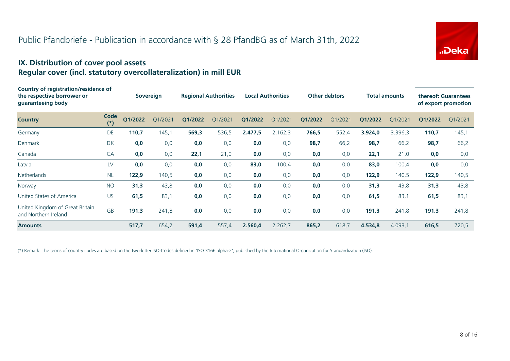

#### **IX. Distribution of cover pool assets Regular cover (incl. statutory overcollateralization) in mill EUR**

| Country of registration/residence of<br>the respective borrower or<br>guaranteeing body |               |         | Sovereign |         | <b>Regional Authorities</b> |         | <b>Local Authorities</b> | <b>Other debtors</b> |         |         | <b>Total amounts</b> | thereof: Guarantees<br>of export promotion |         |
|-----------------------------------------------------------------------------------------|---------------|---------|-----------|---------|-----------------------------|---------|--------------------------|----------------------|---------|---------|----------------------|--------------------------------------------|---------|
| <b>Country</b>                                                                          | Code<br>$(*)$ | Q1/2022 | O1/2021   | Q1/2022 | Q1/2021                     | Q1/2022 | Q1/2021                  | Q1/2022              | Q1/2021 | Q1/2022 | Q1/2021              | Q1/2022                                    | Q1/2021 |
| Germany                                                                                 | DE            | 110,7   | 145,1     | 569,3   | 536,5                       | 2.477,5 | 2.162,3                  | 766,5                | 552,4   | 3.924,0 | 3.396,3              | 110,7                                      | 145,1   |
| Denmark                                                                                 | <b>DK</b>     | 0,0     | 0,0       | 0,0     | 0,0                         | 0,0     | 0,0                      | 98,7                 | 66,2    | 98,7    | 66,2                 | 98,7                                       | 66,2    |
| Canada                                                                                  | CA            | 0,0     | 0,0       | 22,1    | 21,0                        | 0,0     | 0,0                      | 0,0                  | 0,0     | 22,1    | 21,0                 | 0,0                                        | 0,0     |
| Latvia                                                                                  | LV            | 0,0     | 0,0       | 0,0     | 0,0                         | 83,0    | 100,4                    | 0,0                  | 0,0     | 83,0    | 100,4                | 0,0                                        | 0,0     |
| Netherlands                                                                             | <b>NL</b>     | 122,9   | 140,5     | 0,0     | 0,0                         | 0,0     | 0,0                      | 0,0                  | 0,0     | 122,9   | 140,5                | 122,9                                      | 140,5   |
| Norway                                                                                  | <b>NO</b>     | 31,3    | 43,8      | 0,0     | 0,0                         | 0,0     | 0,0                      | 0,0                  | 0,0     | 31,3    | 43,8                 | 31,3                                       | 43,8    |
| United States of America                                                                | <b>US</b>     | 61,5    | 83,1      | 0,0     | 0,0                         | 0,0     | 0,0                      | 0,0                  | 0,0     | 61,5    | 83,1                 | 61,5                                       | 83,1    |
| United Kingdom of Great Britain<br>and Northern Ireland                                 | <b>GB</b>     | 191,3   | 241,8     | 0,0     | 0,0                         | 0,0     | 0,0                      | 0,0                  | 0,0     | 191,3   | 241,8                | 191,3                                      | 241,8   |
| <b>Amounts</b>                                                                          |               | 517,7   | 654,2     | 591,4   | 557,4                       | 2.560,4 | 2.262,7                  | 865,2                | 618,7   | 4.534,8 | 4.093,1              | 616,5                                      | 720,5   |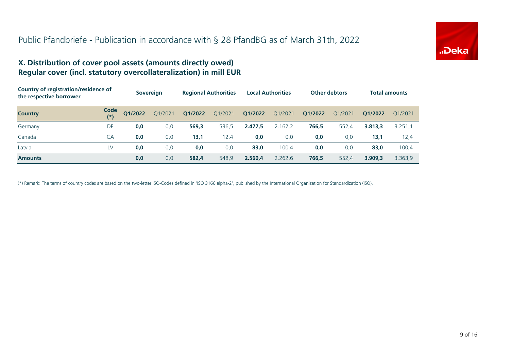

#### **X. Distribution of cover pool assets (amounts directly owed) Regular cover (incl. statutory overcollateralization) in mill EUR**

| Country of registration/residence of<br>the respective borrower |               |         | <b>Sovereign</b> |         | <b>Regional Authorities</b> |         | <b>Local Authorities</b> |         | <b>Other debtors</b> |         | <b>Total amounts</b> |
|-----------------------------------------------------------------|---------------|---------|------------------|---------|-----------------------------|---------|--------------------------|---------|----------------------|---------|----------------------|
| <b>Country</b>                                                  | Code<br>$(*)$ | Q1/2022 | O1/2021          | Q1/2022 | Q1/2021                     | Q1/2022 | Q1/2021                  | Q1/2022 | 01/2021              | O1/2022 | 01/2021              |
| Germany                                                         | DE            | 0,0     | 0,0              | 569,3   | 536,5                       | 2.477,5 | 2.162,2                  | 766,5   | 552,4                | 3.813,3 | 3.251,1              |
| Canada                                                          | CA            | 0,0     | 0,0              | 13,1    | 12,4                        | 0.0     | 0,0                      | 0,0     | 0,0                  | 13,1    | 12,4                 |
| Latvia                                                          | LV            | 0,0     | 0,0              | 0,0     | 0,0                         | 83,0    | 100,4                    | 0,0     | 0,0                  | 83,0    | 100,4                |
| <b>Amounts</b>                                                  |               | 0,0     | 0,0              | 582,4   | 548,9                       | 2.560,4 | 2.262.6                  | 766,5   | 552,4                | 3.909.3 | 3.363,9              |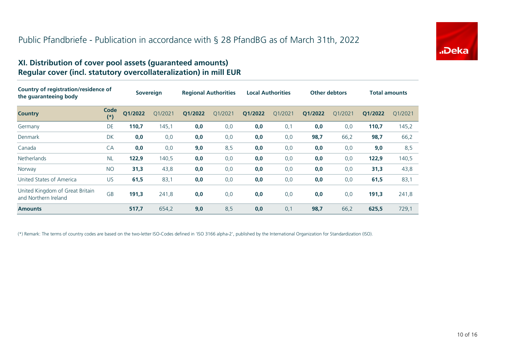

#### **XI. Distribution of cover pool assets (guaranteed amounts) Regular cover (incl. statutory overcollateralization) in mill EUR**

| Country of registration/residence of<br>the quaranteeing body |               | <b>Sovereign</b> |         | <b>Regional Authorities</b> |         | <b>Local Authorities</b> |         | <b>Other debtors</b> |         | <b>Total amounts</b> |         |
|---------------------------------------------------------------|---------------|------------------|---------|-----------------------------|---------|--------------------------|---------|----------------------|---------|----------------------|---------|
| <b>Country</b>                                                | Code<br>$(*)$ | Q1/2022          | O1/2021 | Q1/2022                     | Q1/2021 | Q1/2022                  | Q1/2021 | Q1/2022              | O1/2021 | Q1/2022              | Q1/2021 |
| Germany                                                       | DE            | 110,7            | 145,1   | 0,0                         | 0,0     | 0,0                      | 0,1     | 0,0                  | 0,0     | 110,7                | 145,2   |
| Denmark                                                       | DK            | 0,0              | 0,0     | 0,0                         | 0,0     | 0,0                      | 0,0     | 98,7                 | 66,2    | 98,7                 | 66,2    |
| Canada                                                        | CA            | 0,0              | 0,0     | 9,0                         | 8,5     | 0,0                      | 0,0     | 0,0                  | 0,0     | 9,0                  | 8,5     |
| <b>Netherlands</b>                                            | <b>NL</b>     | 122,9            | 140,5   | 0,0                         | 0,0     | 0,0                      | 0,0     | 0,0                  | 0,0     | 122,9                | 140,5   |
| Norway                                                        | <b>NO</b>     | 31,3             | 43,8    | 0,0                         | 0,0     | 0,0                      | 0,0     | 0,0                  | 0,0     | 31,3                 | 43,8    |
| United States of America                                      | <b>US</b>     | 61,5             | 83,1    | 0,0                         | 0,0     | 0,0                      | 0,0     | 0,0                  | 0,0     | 61,5                 | 83,1    |
| United Kingdom of Great Britain<br>and Northern Ireland       | <b>GB</b>     | 191,3            | 241,8   | 0,0                         | 0,0     | 0,0                      | 0,0     | 0,0                  | 0,0     | 191,3                | 241,8   |
| <b>Amounts</b>                                                |               | 517,7            | 654,2   | 9,0                         | 8,5     | 0,0                      | 0,1     | 98,7                 | 66,2    | 625,5                | 729,1   |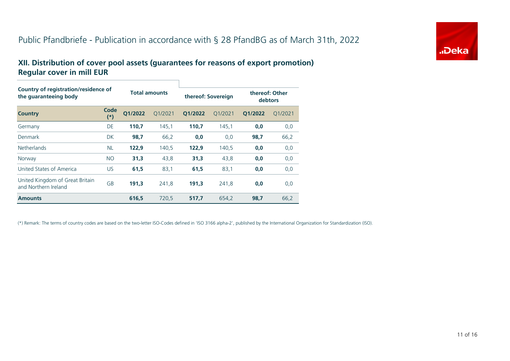

### **XII. Distribution of cover pool assets (guarantees for reasons of export promotion) Regular cover in mill EUR**

| Country of registration/residence of<br>the guaranteeing body |               |         | <b>Total amounts</b> |         | thereof: Sovereign | debtors | thereof: Other |
|---------------------------------------------------------------|---------------|---------|----------------------|---------|--------------------|---------|----------------|
| <b>Country</b>                                                | Code<br>$(*)$ | O1/2022 | O1/2021              | O1/2022 | 01/2021            | 01/2022 | Q1/2021        |
| Germany                                                       | DE            | 110.7   | 145,1                | 110.7   | 145.1              | 0,0     | 0,0            |
| Denmark                                                       | <b>DK</b>     | 98,7    | 66,2                 | 0,0     | 0,0                | 98,7    | 66,2           |
| <b>Netherlands</b>                                            | <b>NL</b>     | 122.9   | 140,5                | 122.9   | 140,5              | 0,0     | 0,0            |
| Norway                                                        | <b>NO</b>     | 31,3    | 43,8                 | 31,3    | 43,8               | 0,0     | 0,0            |
| United States of America                                      | US.           | 61,5    | 83,1                 | 61,5    | 83,1               | 0,0     | 0,0            |
| United Kingdom of Great Britain<br>and Northern Ireland       | <b>GB</b>     | 191.3   | 241.8                | 191.3   | 241.8              | 0,0     | 0,0            |
| <b>Amounts</b>                                                |               | 616.5   | 720,5                | 517.7   | 654,2              | 98,7    | 66,2           |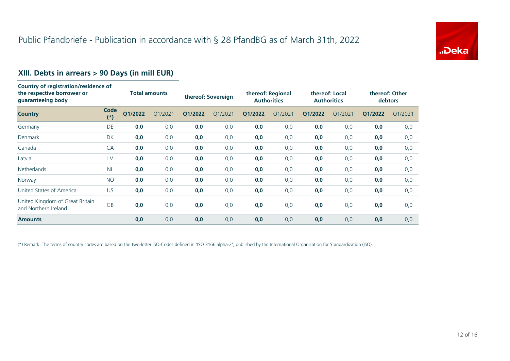

# **XIII. Debts in arrears > 90 Days (in mill EUR) Country of registration/residence of**

| country of registration, residence or<br>the respective borrower or<br>guaranteeing body |               |         | <b>Total amounts</b> |         | thereof: Sovereign |         | thereof: Regional<br><b>Authorities</b> |         | thereof: Local<br><b>Authorities</b> |         | thereof: Other<br>debtors |  |
|------------------------------------------------------------------------------------------|---------------|---------|----------------------|---------|--------------------|---------|-----------------------------------------|---------|--------------------------------------|---------|---------------------------|--|
| <b>Country</b>                                                                           | Code<br>$(*)$ | Q1/2022 | Q1/2021              | Q1/2022 | Q1/2021            | Q1/2022 | Q1/2021                                 | Q1/2022 | Q1/2021                              | Q1/2022 | 01/2021                   |  |
| Germany                                                                                  | DE            | 0,0     | 0,0                  | 0,0     | 0,0                | 0,0     | 0,0                                     | 0,0     | 0,0                                  | 0,0     | 0,0                       |  |
| Denmark                                                                                  | <b>DK</b>     | 0,0     | 0,0                  | 0,0     | 0,0                | 0,0     | 0,0                                     | 0,0     | 0,0                                  | 0,0     | 0,0                       |  |
| Canada                                                                                   | <b>CA</b>     | 0,0     | 0,0                  | 0,0     | 0,0                | 0,0     | 0,0                                     | 0,0     | 0,0                                  | 0,0     | 0,0                       |  |
| Latvia                                                                                   | LV            | 0,0     | 0,0                  | 0,0     | 0,0                | 0,0     | 0,0                                     | 0,0     | 0,0                                  | 0,0     | 0,0                       |  |
| <b>Netherlands</b>                                                                       | <b>NL</b>     | 0,0     | 0,0                  | 0,0     | 0,0                | 0,0     | 0,0                                     | 0,0     | 0,0                                  | 0,0     | 0,0                       |  |
| Norway                                                                                   | <b>NO</b>     | 0,0     | 0,0                  | 0,0     | 0,0                | 0,0     | 0,0                                     | 0,0     | 0,0                                  | 0,0     | 0,0                       |  |
| United States of America                                                                 | US            | 0,0     | 0,0                  | 0,0     | 0,0                | 0,0     | 0,0                                     | 0,0     | 0,0                                  | 0,0     | 0,0                       |  |
| United Kingdom of Great Britain<br>and Northern Ireland                                  | <b>GB</b>     | 0,0     | 0,0                  | 0,0     | 0,0                | 0,0     | 0,0                                     | 0,0     | 0,0                                  | 0,0     | 0,0                       |  |
| <b>Amounts</b>                                                                           |               | 0,0     | 0,0                  | 0,0     | 0,0                | 0,0     | 0,0                                     | 0,0     | 0,0                                  | 0,0     | 0,0                       |  |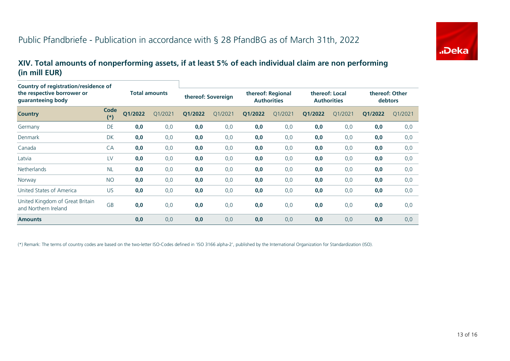

#### **XIV. Total amounts of nonperforming assets, if at least 5% of each individual claim are non performing (in mill EUR)**

| Country of registration/residence of<br>the respective borrower or<br>guaranteeing body |               | <b>Total amounts</b> |         | thereof: Sovereign |         | thereof: Regional<br><b>Authorities</b> |         | thereof: Local<br><b>Authorities</b> |         | thereof: Other<br>debtors |         |
|-----------------------------------------------------------------------------------------|---------------|----------------------|---------|--------------------|---------|-----------------------------------------|---------|--------------------------------------|---------|---------------------------|---------|
| <b>Country</b>                                                                          | Code<br>$(*)$ | Q1/2022              | Q1/2021 | Q1/2022            | Q1/2021 | Q1/2022                                 | Q1/2021 | Q1/2022                              | Q1/2021 | Q1/2022                   | Q1/2021 |
| Germany                                                                                 | DE            | 0,0                  | 0,0     | 0,0                | 0,0     | 0,0                                     | 0,0     | 0,0                                  | 0,0     | 0,0                       | 0,0     |
| Denmark                                                                                 | DK            | 0,0                  | 0,0     | 0,0                | 0,0     | 0,0                                     | 0,0     | 0,0                                  | 0,0     | 0,0                       | 0,0     |
| Canada                                                                                  | CA            | 0,0                  | 0,0     | 0,0                | 0,0     | 0,0                                     | 0,0     | 0,0                                  | 0,0     | 0,0                       | 0,0     |
| Latvia                                                                                  | LV            | 0,0                  | 0,0     | 0,0                | 0,0     | 0,0                                     | 0,0     | 0,0                                  | 0,0     | 0,0                       | 0,0     |
| <b>Netherlands</b>                                                                      | <b>NL</b>     | 0,0                  | 0,0     | 0,0                | 0,0     | 0,0                                     | 0,0     | 0,0                                  | 0,0     | 0,0                       | 0,0     |
| Norway                                                                                  | <b>NO</b>     | 0,0                  | 0,0     | 0,0                | 0,0     | 0,0                                     | 0,0     | 0,0                                  | 0,0     | 0,0                       | 0,0     |
| United States of America                                                                | <b>US</b>     | 0,0                  | 0,0     | 0,0                | 0,0     | 0,0                                     | 0,0     | 0,0                                  | 0,0     | 0,0                       | 0,0     |
| United Kingdom of Great Britain<br>and Northern Ireland                                 | <b>GB</b>     | 0,0                  | 0,0     | 0,0                | 0,0     | 0,0                                     | 0,0     | 0,0                                  | 0,0     | 0,0                       | 0,0     |
| <b>Amounts</b>                                                                          |               | 0,0                  | 0,0     | 0,0                | 0,0     | 0,0                                     | 0,0     | 0,0                                  | 0,0     | 0,0                       | 0,0     |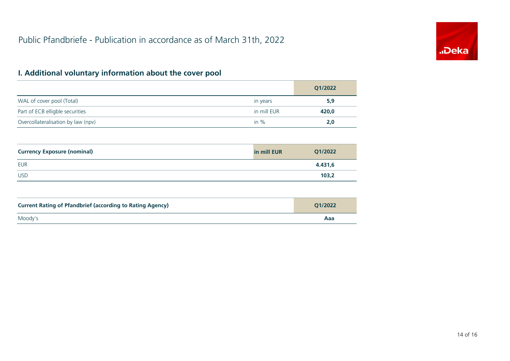

## **I. Additional voluntary information about the cover pool**

|                                    |             | Q1/2022 |
|------------------------------------|-------------|---------|
| WAL of cover pool (Total)          | in years    | 5,9     |
| Part of ECB elligble securities    | in mill EUR | 420,0   |
| Overcollateralisation by law (npv) | in $\%$     | 2,0     |

| <b>Currency Exposure (nominal)</b> | in mill EUR | Q1/2022 |
|------------------------------------|-------------|---------|
| EUR                                |             | 4.431,6 |
| <b>USD</b>                         |             | 103,2   |

| <b>Current Rating of Pfandbrief (according to Rating Agency)</b> | 01/2022 |
|------------------------------------------------------------------|---------|
| Moody's                                                          | Aaa     |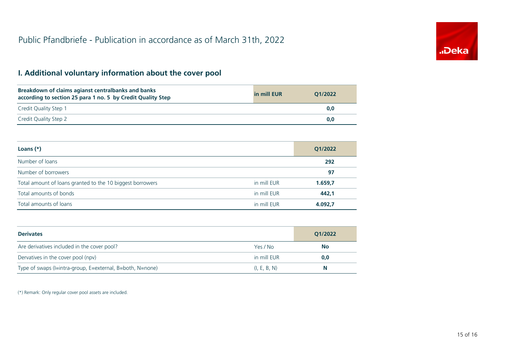

## **I. Additional voluntary information about the cover pool**

| Breakdown of claims agianst centralbanks and banks<br>according to section 25 para 1 no. 5 by Credit Quality Step | in mill EUR | 01/2022 |
|-------------------------------------------------------------------------------------------------------------------|-------------|---------|
| Credit Quality Step 1                                                                                             |             | 0.0     |
| Credit Quality Step 2                                                                                             |             | 0.0     |

| Loans $(*)$                                               |             | Q1/2022 |
|-----------------------------------------------------------|-------------|---------|
| Number of loans                                           |             | 292     |
| Number of borrowers                                       |             | 97      |
| Total amount of loans granted to the 10 biggest borrowers | in mill EUR | 1.659,7 |
| Total amounts of bonds                                    | in mill EUR | 442,1   |
| Total amounts of loans                                    | in mill EUR | 4.092.7 |

| <b>Derivates</b>                                          |              | Q1/2022   |
|-----------------------------------------------------------|--------------|-----------|
| Are derivatives included in the cover pool?               | Yes / No     | <b>No</b> |
| Dervatives in the cover pool (npv)                        | in mill EUR  | 0,0       |
| Type of swaps (I=intra-group, E=external, B=both, N=none) | (I, E, B, N) | N.        |

(\*) Remark: Only regular cover pool assets are included.